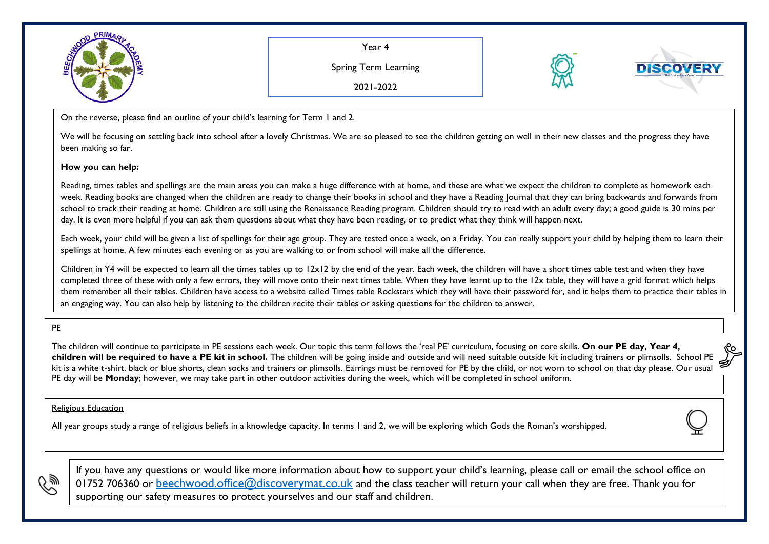

Year 4

Spring Term Learning

2021-2022



On the reverse, please find an outline of your child's learning for Term 1 and 2.

We will be focusing on settling back into school after a lovely Christmas. We are so pleased to see the children getting on well in their new classes and the progress they have been making so far.

## **How you can help:**

Reading, times tables and spellings are the main areas you can make a huge difference with at home, and these are what we expect the children to complete as homework each week. Reading books are changed when the children are ready to change their books in school and they have a Reading Journal that they can bring backwards and forwards from school to track their reading at home. Children are still using the Renaissance Reading program. Children should try to read with an adult every day; a good guide is 30 mins per day. It is even more helpful if you can ask them questions about what they have been reading, or to predict what they think will happen next.

Each week, your child will be given a list of spellings for their age group. They are tested once a week, on a Friday. You can really support your child by helping them to learn their spellings at home. A few minutes each evening or as you are walking to or from school will make all the difference.

Children in Y4 will be expected to learn all the times tables up to 12x12 by the end of the year. Each week, the children will have a short times table test and when they have completed three of these with only a few errors, they will move onto their next times table. When they have learnt up to the 12x table, they will have a grid format which helps them remember all their tables. Children have access to a website called Times table Rockstars which they will have their password for, and it helps them to practice their tables in an engaging way. You can also help by listening to the children recite their tables or asking questions for the children to answer.

## PE

The children will continue to participate in PE sessions each week. Our topic this term follows the 'real PE' curriculum, focusing on core skills. **On our PE day, Year 4, children will be required to have a PE kit in school.** The children will be going inside and outside and will need suitable outside kit including trainers or plimsolls. School PE kit is a white t-shirt, black or blue shorts, clean socks and trainers or plimsolls. Earrings must be removed for PE by the child, or not worn to school on that day please. Our usual PE day will be **Monday**; however, we may take part in other outdoor activities during the week, which will be completed in school uniform.

## Religious Education

All year groups study a range of religious beliefs in a knowledge capacity. In terms 1 and 2, we will be exploring which Gods the Roman's worshipped.



If you have any questions or would like more information about how to support your child's learning, please call or email the school office on 01752 706360 or [beechwood.office@discoverymat.co.uk](mailto:beechwood.office@discoverymat.co.uk) and the class teacher will return your call when they are free. Thank you for supporting our safety measures to protect yourselves and our staff and children.